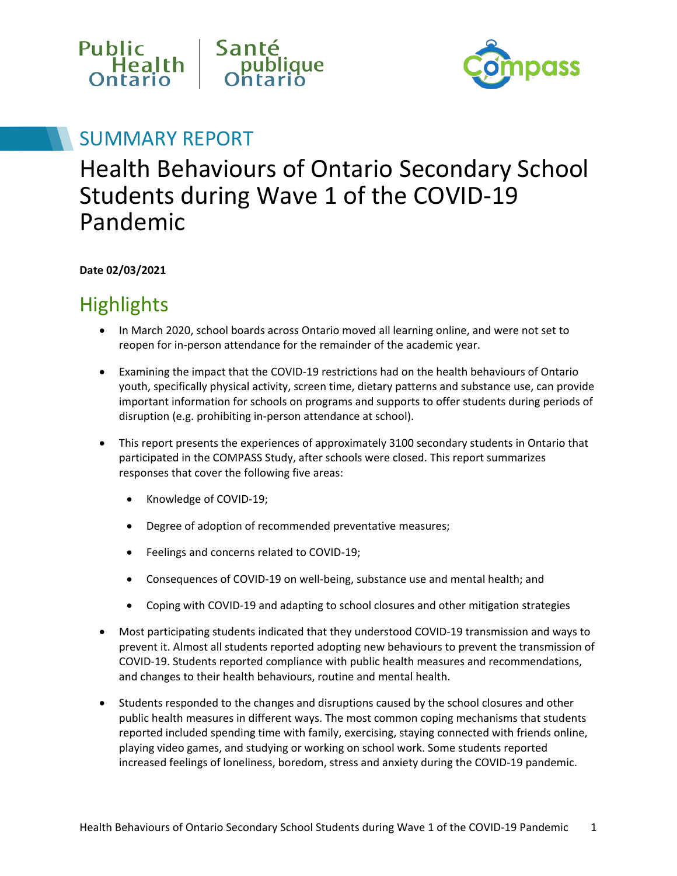



## SUMMARY REPORT

# Health Behaviours of Ontario Secondary School Students during Wave 1 of the COVID-19 Pandemic

**Date 02/03/2021**

# **Highlights**

- In March 2020, school boards across Ontario moved all learning online, and were not set to reopen for in-person attendance for the remainder of the academic year.
- Examining the impact that the COVID-19 restrictions had on the health behaviours of Ontario youth, specifically physical activity, screen time, dietary patterns and substance use, can provide important information for schools on programs and supports to offer students during periods of disruption (e.g. prohibiting in-person attendance at school).
- This report presents the experiences of approximately 3100 secondary students in Ontario that participated in the COMPASS Study, after schools were closed. This report summarizes responses that cover the following five areas:
	- Knowledge of COVID-19;
	- Degree of adoption of recommended preventative measures;
	- Feelings and concerns related to COVID-19;
	- Consequences of COVID-19 on well-being, substance use and mental health; and
	- Coping with COVID-19 and adapting to school closures and other mitigation strategies
- Most participating students indicated that they understood COVID-19 transmission and ways to prevent it. Almost all students reported adopting new behaviours to prevent the transmission of COVID-19. Students reported compliance with public health measures and recommendations, and changes to their health behaviours, routine and mental health.
- Students responded to the changes and disruptions caused by the school closures and other public health measures in different ways. The most common coping mechanisms that students reported included spending time with family, exercising, staying connected with friends online, playing video games, and studying or working on school work. Some students reported increased feelings of loneliness, boredom, stress and anxiety during the COVID-19 pandemic.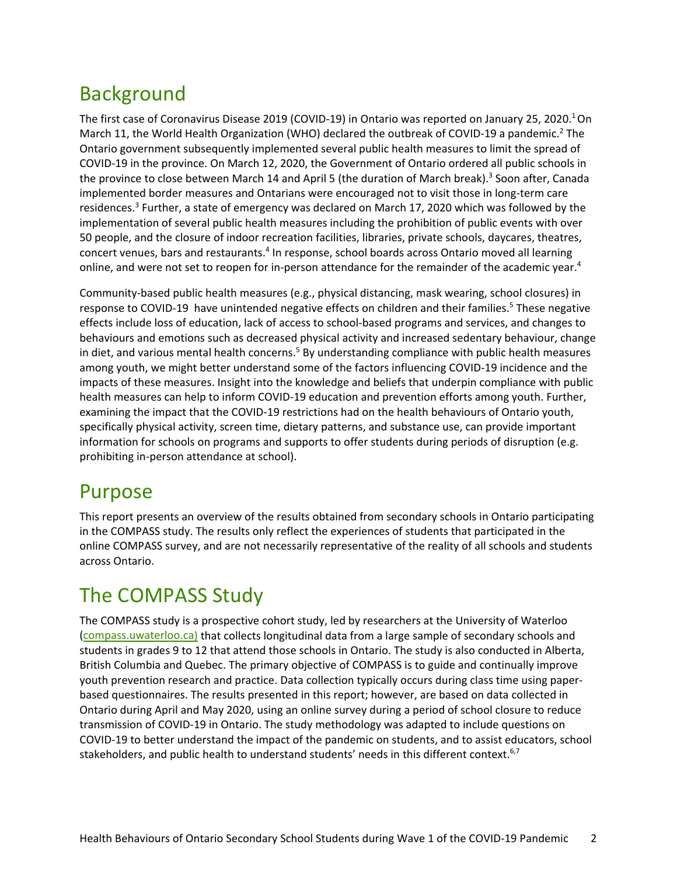# Background

The first case of Coronavirus Disease 2019 (COVID-19) in Ontario was reported on January 25, 2020.<sup>1</sup> On March 11, the World Health Organization (WHO) declared the outbreak of COVID-19 a pandemic.<sup>2</sup> The Ontario government subsequently implemented several public health measures to limit the spread of COVID-19 in the province. On March 12, 2020, the Government of Ontario ordered all public schools in the province to close between March 14 and April 5 (the duration of March break).<sup>3</sup> Soon after, Canada implemented border measures and Ontarians were encouraged not to visit those in long-term care residences.<sup>3</sup> Further, a state of emergency was declared on March 17, 2020 which was followed by the implementation of several public health measures including the prohibition of public events with over 50 people, and the closure of indoor recreation facilities, libraries, private schools, daycares, theatres, concert venues, bars and restaurants.<sup>4</sup> In response, school boards across Ontario moved all learning online, and were not set to reopen for in-person attendance for the remainder of the academic year.<sup>4</sup>

Community-based public health measures (e.g., physical distancing, mask wearing, school closures) in response to COVID-19 have unintended negative effects on children and their families.<sup>5</sup> These negative effects include loss of education, lack of access to school-based programs and services, and changes to behaviours and emotions such as decreased physical activity and increased sedentary behaviour, change in diet, and various mental health concerns.<sup>5</sup> By understanding compliance with public health measures among youth, we might better understand some of the factors influencing COVID-19 incidence and the impacts of these measures. Insight into the knowledge and beliefs that underpin compliance with public health measures can help to inform COVID-19 education and prevention efforts among youth. Further, examining the impact that the COVID-19 restrictions had on the health behaviours of Ontario youth, specifically physical activity, screen time, dietary patterns, and substance use, can provide important information for schools on programs and supports to offer students during periods of disruption (e.g. prohibiting in-person attendance at school).

## Purpose

This report presents an overview of the results obtained from secondary schools in Ontario participating in the COMPASS study. The results only reflect the experiences of students that participated in the online COMPASS survey, and are not necessarily representative of the reality of all schools and students across Ontario.

# The COMPASS Study

The COMPASS study is a prospective cohort study, led by researchers at the University of Waterloo [\(compass.uwaterloo.ca\)](https://uwaterloo.ca/compass-system/compass-system-projects/compass-cihr) that collects longitudinal data from a large sample of secondary schools and students in grades 9 to 12 that attend those schools in Ontario. The study is also conducted in Alberta, British Columbia and Quebec. The primary objective of COMPASS is to guide and continually improve youth prevention research and practice. Data collection typically occurs during class time using paperbased questionnaires. The results presented in this report; however, are based on data collected in Ontario during April and May 2020, using an online survey during a period of school closure to reduce transmission of COVID-19 in Ontario. The study methodology was adapted to include questions on COVID-19 to better understand the impact of the pandemic on students, and to assist educators, school stakeholders, and public health to understand students' needs in this different context.<sup>6,7</sup>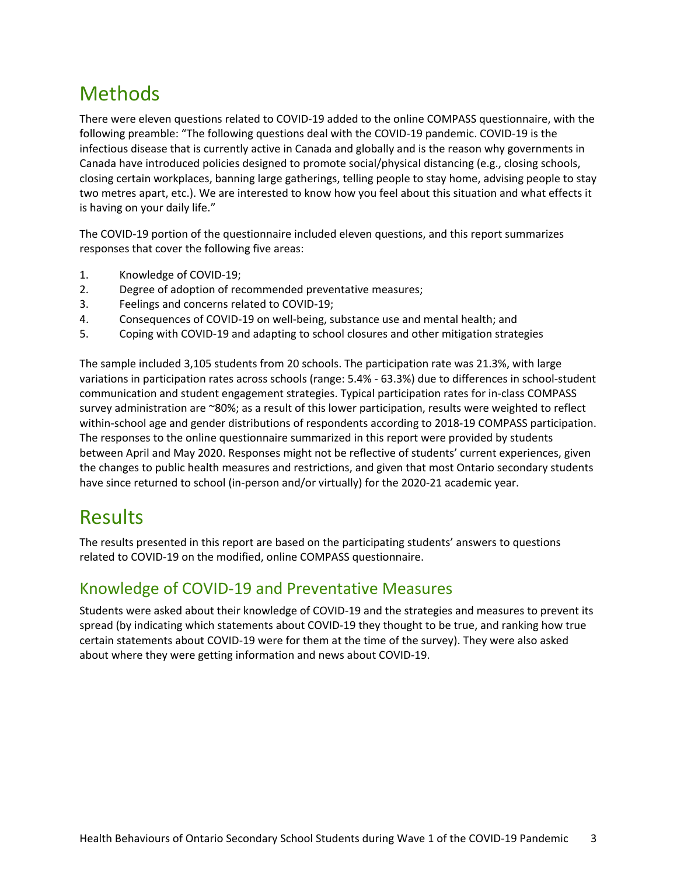## Methods

There were eleven questions related to COVID-19 added to the online COMPASS questionnaire, with the following preamble: "The following questions deal with the COVID-19 pandemic. COVID-19 is the infectious disease that is currently active in Canada and globally and is the reason why governments in Canada have introduced policies designed to promote social/physical distancing (e.g., closing schools, closing certain workplaces, banning large gatherings, telling people to stay home, advising people to stay two metres apart, etc.). We are interested to know how you feel about this situation and what effects it is having on your daily life."

The COVID-19 portion of the questionnaire included eleven questions, and this report summarizes responses that cover the following five areas:

- 1. Knowledge of COVID-19;
- 2. Degree of adoption of recommended preventative measures;
- 3. Feelings and concerns related to COVID-19;
- 4. Consequences of COVID-19 on well-being, substance use and mental health; and
- 5. Coping with COVID-19 and adapting to school closures and other mitigation strategies

The sample included 3,105 students from 20 schools. The participation rate was 21.3%, with large variations in participation rates across schools (range: 5.4% - 63.3%) due to differences in school-student communication and student engagement strategies. Typical participation rates for in-class COMPASS survey administration are ~80%; as a result of this lower participation, results were weighted to reflect within-school age and gender distributions of respondents according to 2018-19 COMPASS participation. The responses to the online questionnaire summarized in this report were provided by students between April and May 2020. Responses might not be reflective of students' current experiences, given the changes to public health measures and restrictions, and given that most Ontario secondary students have since returned to school (in-person and/or virtually) for the 2020-21 academic year.

## Results

The results presented in this report are based on the participating students' answers to questions related to COVID-19 on the modified, online COMPASS questionnaire.

#### Knowledge of COVID-19 and Preventative Measures

Students were asked about their knowledge of COVID-19 and the strategies and measures to prevent its spread (by indicating which statements about COVID-19 they thought to be true, and ranking how true certain statements about COVID-19 were for them at the time of the survey). They were also asked about where they were getting information and news about COVID-19.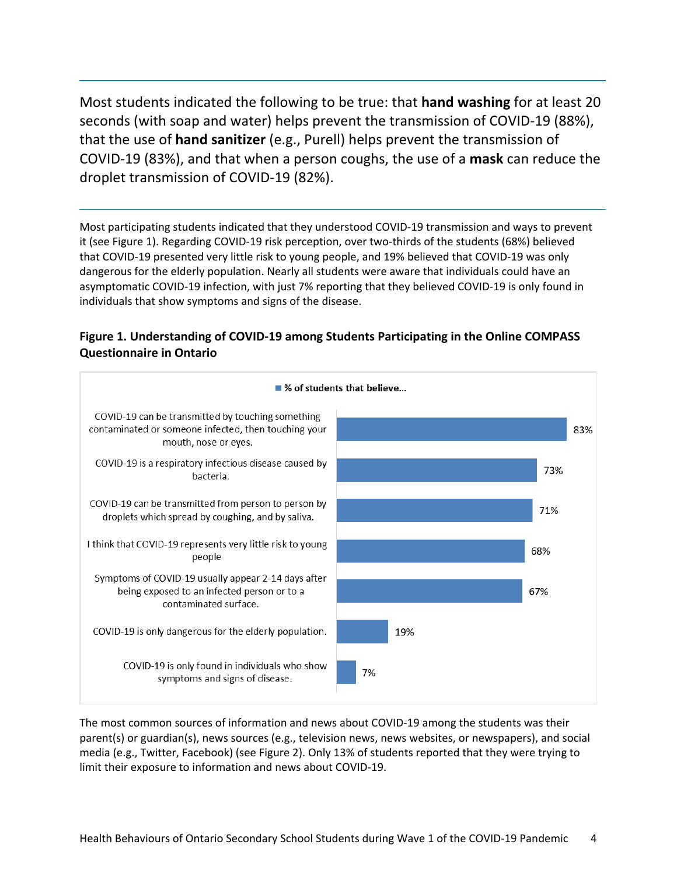Most students indicated the following to be true: that **hand washing** for at least 20 seconds (with soap and water) helps prevent the transmission of COVID-19 (88%), that the use of **hand sanitizer** (e.g., Purell) helps prevent the transmission of COVID-19 (83%), and that when a person coughs, the use of a **mask** can reduce the droplet transmission of COVID-19 (82%).

Most participating students indicated that they understood COVID-19 transmission and ways to prevent it (see Figure 1). Regarding COVID-19 risk perception, over two-thirds of the students (68%) believed that COVID-19 presented very little risk to young people, and 19% believed that COVID-19 was only dangerous for the elderly population. Nearly all students were aware that individuals could have an asymptomatic COVID-19 infection, with just 7% reporting that they believed COVID-19 is only found in individuals that show symptoms and signs of the disease.





The most common sources of information and news about COVID-19 among the students was their parent(s) or guardian(s), news sources (e.g., television news, news websites, or newspapers), and social media (e.g., Twitter, Facebook) (see [Figure 2\)](#page-4-0). Only 13% of students reported that they were trying to limit their exposure to information and news about COVID-19.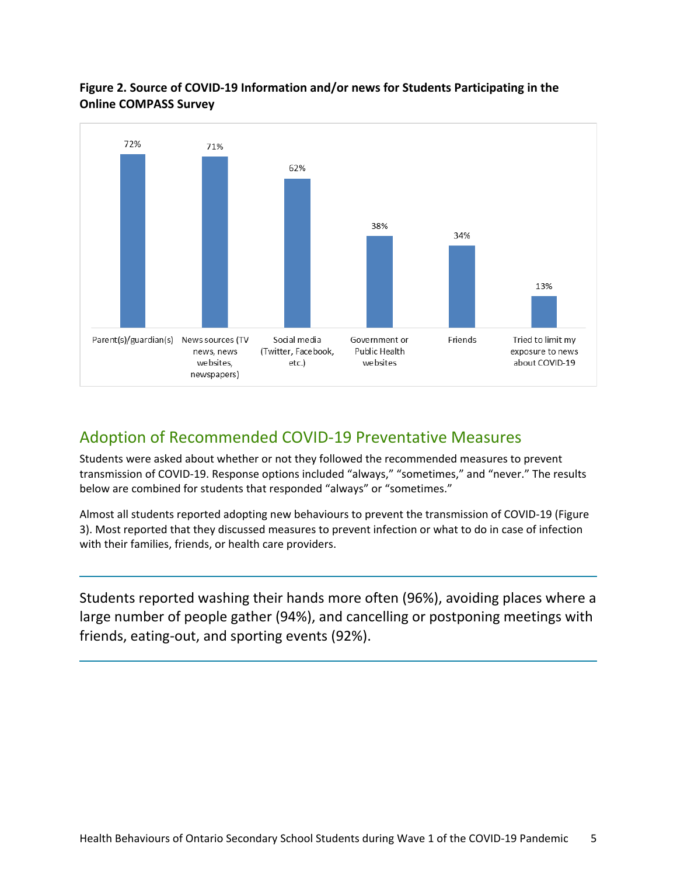#### <span id="page-4-0"></span>**Figure 2. Source of COVID-19 Information and/or news for Students Participating in the Online COMPASS Survey**



#### Adoption of Recommended COVID-19 Preventative Measures

Students were asked about whether or not they followed the recommended measures to prevent transmission of COVID-19. Response options included "always," "sometimes," and "never." The results below are combined for students that responded "always" or "sometimes."

Almost all students reported adopting new behaviours to prevent the transmission of COVID-19 [\(Figure](#page-4-1)  [3\)](#page-4-1). Most reported that they discussed measures to prevent infection or what to do in case of infection with their families, friends, or health care providers.

<span id="page-4-1"></span>Students reported washing their hands more often (96%), avoiding places where a large number of people gather (94%), and cancelling or postponing meetings with friends, eating-out, and sporting events (92%).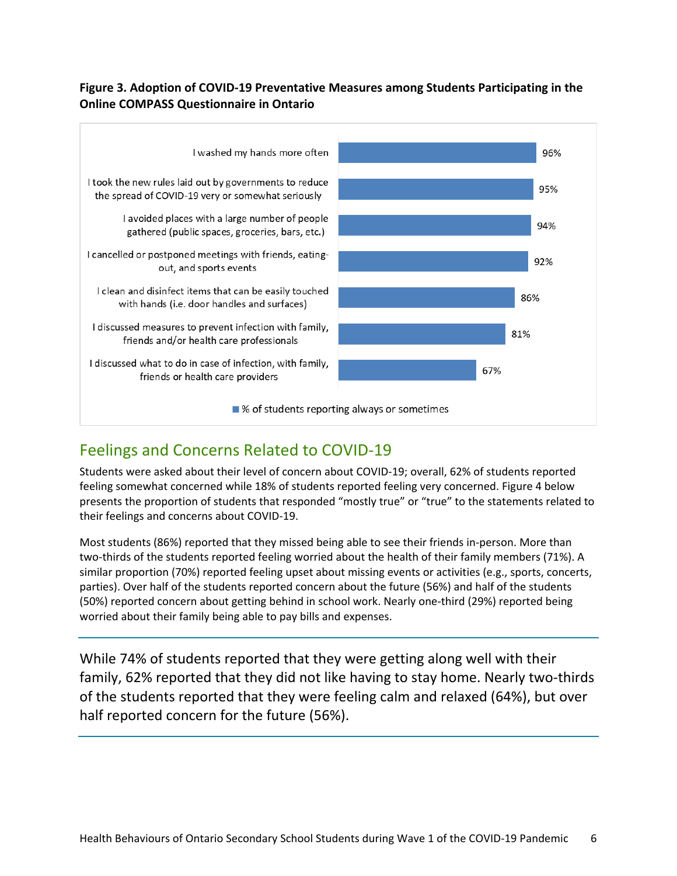#### **Figure 3. Adoption of COVID-19 Preventative Measures among Students Participating in the Online COMPASS Questionnaire in Ontario**



### Feelings and Concerns Related to COVID-19

Students were asked about their level of concern about COVID-19; overall, 62% of students reported feeling somewhat concerned while 18% of students reported feeling very concerned. [Figure 4](#page-6-0) below presents the proportion of students that responded "mostly true" or "true" to the statements related to their feelings and concerns about COVID-19.

Most students (86%) reported that they missed being able to see their friends in-person. More than two-thirds of the students reported feeling worried about the health of their family members (71%). A similar proportion (70%) reported feeling upset about missing events or activities (e.g., sports, concerts, parties). Over half of the students reported concern about the future (56%) and half of the students (50%) reported concern about getting behind in school work. Nearly one-third (29%) reported being worried about their family being able to pay bills and expenses.

While 74% of students reported that they were getting along well with their family, 62% reported that they did not like having to stay home. Nearly two-thirds of the students reported that they were feeling calm and relaxed (64%), but over half reported concern for the future (56%).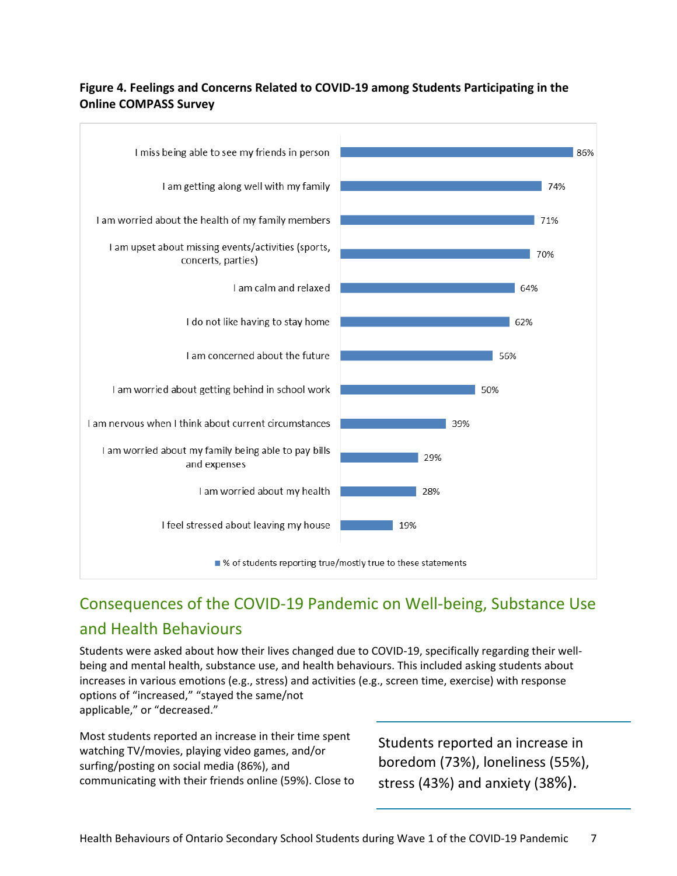#### <span id="page-6-0"></span>**Figure 4. Feelings and Concerns Related to COVID-19 among Students Participating in the Online COMPASS Survey**



## Consequences of the COVID-19 Pandemic on Well-being, Substance Use and Health Behaviours

Students were asked about how their lives changed due to COVID-19, specifically regarding their wellbeing and mental health, substance use, and health behaviours. This included asking students about increases in various emotions (e.g., stress) and activities (e.g., screen time, exercise) with response options of "increased," "stayed the same/not applicable," or "decreased."

Most students reported an increase in their time spent watching TV/movies, playing video games, and/or surfing/posting on social media (86%), and communicating with their friends online (59%). Close to

Students reported an increase in boredom (73%), loneliness (55%), stress (43%) and anxiety (38%).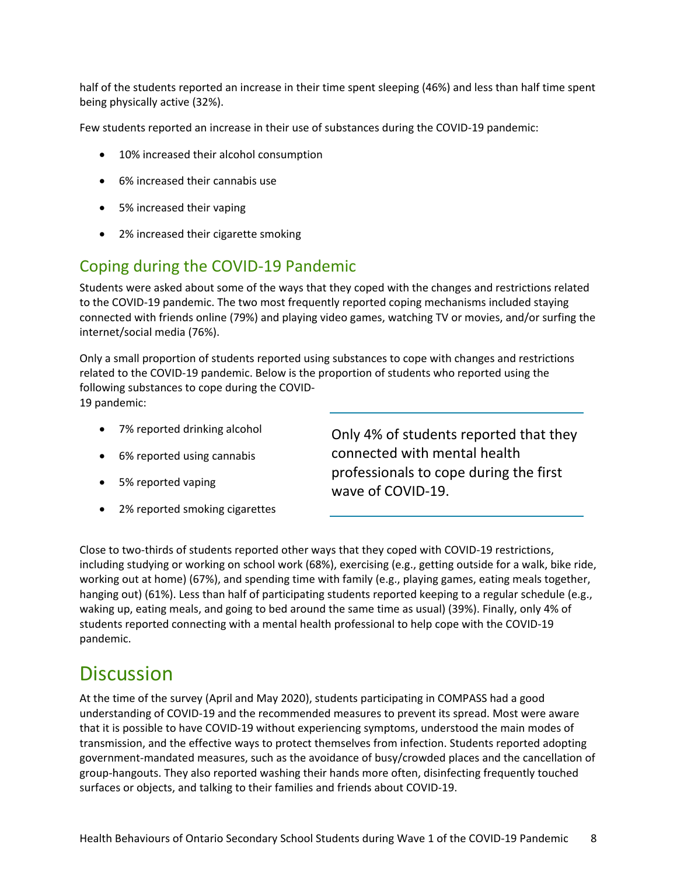half of the students reported an increase in their time spent sleeping (46%) and less than half time spent being physically active (32%).

Few students reported an increase in their use of substances during the COVID-19 pandemic:

- 10% increased their alcohol consumption
- 6% increased their cannabis use
- 5% increased their vaping
- 2% increased their cigarette smoking

### Coping during the COVID-19 Pandemic

Students were asked about some of the ways that they coped with the changes and restrictions related to the COVID-19 pandemic. The two most frequently reported coping mechanisms included staying connected with friends online (79%) and playing video games, watching TV or movies, and/or surfing the internet/social media (76%).

Only a small proportion of students reported using substances to cope with changes and restrictions related to the COVID-19 pandemic. Below is the proportion of students who reported using the following substances to cope during the COVID-19 pandemic:

- 7% reported drinking alcohol
- 6% reported using cannabis
- 5% reported vaping
- 2% reported smoking cigarettes

Only 4% of students reported that they connected with mental health professionals to cope during the first wave of COVID-19.

Close to two-thirds of students reported other ways that they coped with COVID-19 restrictions, including studying or working on school work (68%), exercising (e.g., getting outside for a walk, bike ride, working out at home) (67%), and spending time with family (e.g., playing games, eating meals together, hanging out) (61%). Less than half of participating students reported keeping to a regular schedule (e.g., waking up, eating meals, and going to bed around the same time as usual) (39%). Finally, only 4% of students reported connecting with a mental health professional to help cope with the COVID-19 pandemic.

### **Discussion**

At the time of the survey (April and May 2020), students participating in COMPASS had a good understanding of COVID-19 and the recommended measures to prevent its spread. Most were aware that it is possible to have COVID-19 without experiencing symptoms, understood the main modes of transmission, and the effective ways to protect themselves from infection. Students reported adopting government-mandated measures, such as the avoidance of busy/crowded places and the cancellation of group-hangouts. They also reported washing their hands more often, disinfecting frequently touched surfaces or objects, and talking to their families and friends about COVID-19.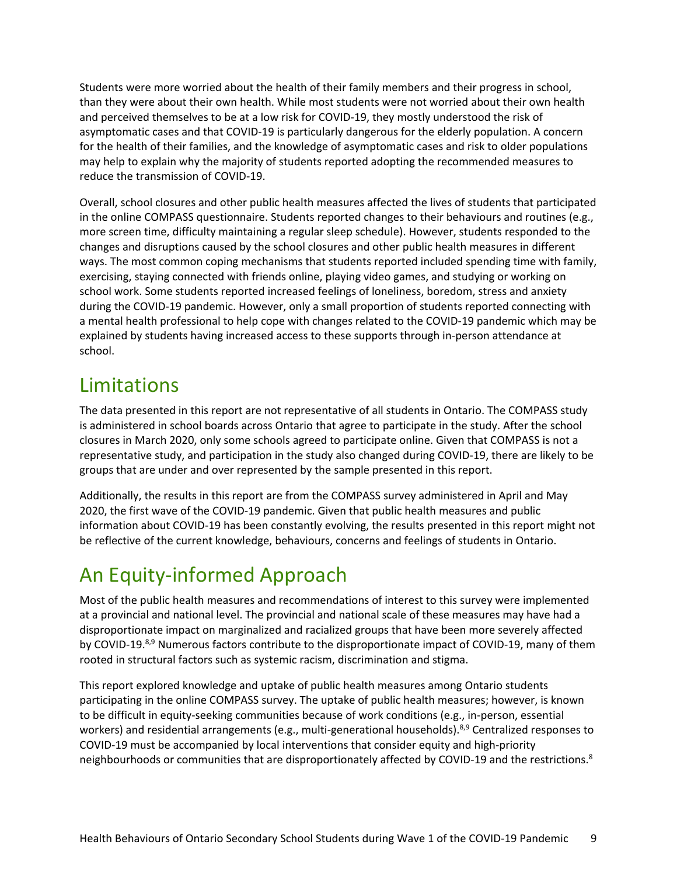Students were more worried about the health of their family members and their progress in school, than they were about their own health. While most students were not worried about their own health and perceived themselves to be at a low risk for COVID-19, they mostly understood the risk of asymptomatic cases and that COVID-19 is particularly dangerous for the elderly population. A concern for the health of their families, and the knowledge of asymptomatic cases and risk to older populations may help to explain why the majority of students reported adopting the recommended measures to reduce the transmission of COVID-19.

Overall, school closures and other public health measures affected the lives of students that participated in the online COMPASS questionnaire. Students reported changes to their behaviours and routines (e.g., more screen time, difficulty maintaining a regular sleep schedule). However, students responded to the changes and disruptions caused by the school closures and other public health measures in different ways. The most common coping mechanisms that students reported included spending time with family, exercising, staying connected with friends online, playing video games, and studying or working on school work. Some students reported increased feelings of loneliness, boredom, stress and anxiety during the COVID-19 pandemic. However, only a small proportion of students reported connecting with a mental health professional to help cope with changes related to the COVID-19 pandemic which may be explained by students having increased access to these supports through in-person attendance at school.

## Limitations

The data presented in this report are not representative of all students in Ontario. The COMPASS study is administered in school boards across Ontario that agree to participate in the study. After the school closures in March 2020, only some schools agreed to participate online. Given that COMPASS is not a representative study, and participation in the study also changed during COVID-19, there are likely to be groups that are under and over represented by the sample presented in this report.

Additionally, the results in this report are from the COMPASS survey administered in April and May 2020, the first wave of the COVID-19 pandemic. Given that public health measures and public information about COVID-19 has been constantly evolving, the results presented in this report might not be reflective of the current knowledge, behaviours, concerns and feelings of students in Ontario.

# An Equity-informed Approach

Most of the public health measures and recommendations of interest to this survey were implemented at a provincial and national level. The provincial and national scale of these measures may have had a disproportionate impact on marginalized and racialized groups that have been more severely affected by COVID-19.<sup>8,9</sup> Numerous factors contribute to the disproportionate impact of COVID-19, many of them rooted in structural factors such as systemic racism, discrimination and stigma.

This report explored knowledge and uptake of public health measures among Ontario students participating in the online COMPASS survey. The uptake of public health measures; however, is known to be difficult in equity-seeking communities because of work conditions (e.g., in-person, essential workers) and residential arrangements (e.g., multi-generational households).<sup>8,9</sup> Centralized responses to COVID-19 must be accompanied by local interventions that consider equity and high-priority neighbourhoods or communities that are disproportionately affected by COVID-19 and the restrictions.<sup>8</sup>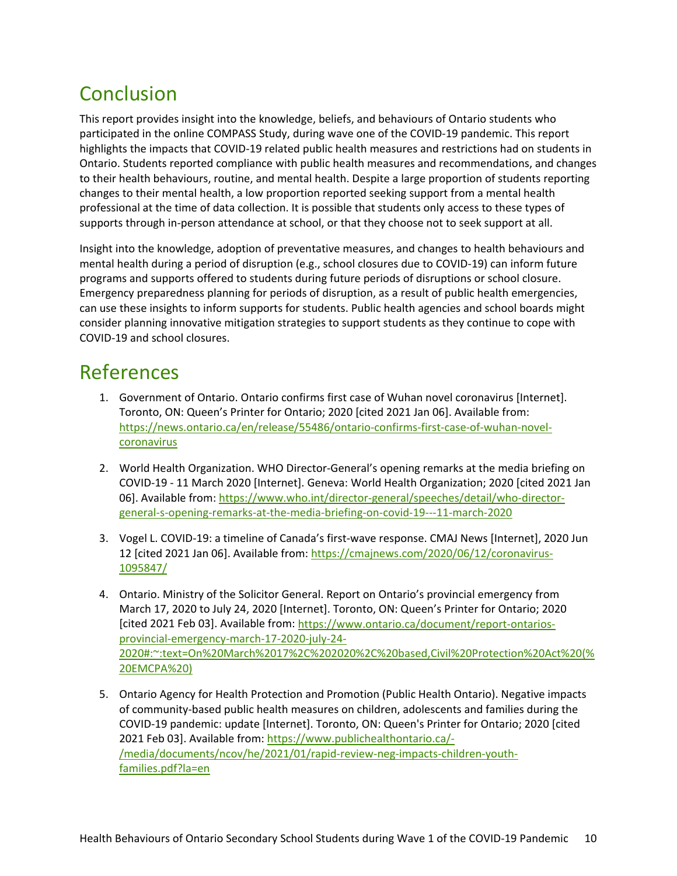# Conclusion

This report provides insight into the knowledge, beliefs, and behaviours of Ontario students who participated in the online COMPASS Study, during wave one of the COVID-19 pandemic. This report highlights the impacts that COVID-19 related public health measures and restrictions had on students in Ontario. Students reported compliance with public health measures and recommendations, and changes to their health behaviours, routine, and mental health. Despite a large proportion of students reporting changes to their mental health, a low proportion reported seeking support from a mental health professional at the time of data collection. It is possible that students only access to these types of supports through in-person attendance at school, or that they choose not to seek support at all.

Insight into the knowledge, adoption of preventative measures, and changes to health behaviours and mental health during a period of disruption (e.g., school closures due to COVID-19) can inform future programs and supports offered to students during future periods of disruptions or school closure. Emergency preparedness planning for periods of disruption, as a result of public health emergencies, can use these insights to inform supports for students. Public health agencies and school boards might consider planning innovative mitigation strategies to support students as they continue to cope with COVID-19 and school closures.

### References

- 1. Government of Ontario. Ontario confirms first case of Wuhan novel coronavirus [Internet]. Toronto, ON: Queen's Printer for Ontario; 2020 [cited 2021 Jan 06]. Available from: [https://news.ontario.ca/en/release/55486/ontario-confirms-first-case-of-wuhan-novel](https://news.ontario.ca/en/release/55486/ontario-confirms-first-case-of-wuhan-novel-coronavirus)[coronavirus](https://news.ontario.ca/en/release/55486/ontario-confirms-first-case-of-wuhan-novel-coronavirus)
- 2. World Health Organization. WHO Director-General's opening remarks at the media briefing on COVID-19 - 11 March 2020 [Internet]. Geneva: World Health Organization; 2020 [cited 2021 Jan 06]. Available from: [https://www.who.int/director-general/speeches/detail/who-director](https://www.who.int/director-general/speeches/detail/who-director-general-s-opening-remarks-at-the-media-briefing-on-covid-19---11-march-2020)[general-s-opening-remarks-at-the-media-briefing-on-covid-19---11-march-2020](https://www.who.int/director-general/speeches/detail/who-director-general-s-opening-remarks-at-the-media-briefing-on-covid-19---11-march-2020)
- 3. Vogel L. COVID-19: a timeline of Canada's first-wave response. CMAJ News [Internet], 2020 Jun 12 [cited 2021 Jan 06]. Available from: [https://cmajnews.com/2020/06/12/coronavirus-](https://cmajnews.com/2020/06/12/coronavirus-1095847/)[1095847/](https://cmajnews.com/2020/06/12/coronavirus-1095847/)
- 4. Ontario. Ministry of the Solicitor General. Report on Ontario's provincial emergency from March 17, 2020 to July 24, 2020 [Internet]. Toronto, ON: Queen's Printer for Ontario; 2020 [cited 2021 Feb 03]. Available from[: https://www.ontario.ca/document/report-ontarios](https://www.ontario.ca/document/report-ontarios-provincial-emergency-march-17-2020-july-24-2020%23:%7E:text=On%20March%2017%2C%202020%2C%20based,Civil%20Protection%20Act%20(%20EMCPA%20))[provincial-emergency-march-17-2020-july-24-](https://www.ontario.ca/document/report-ontarios-provincial-emergency-march-17-2020-july-24-2020%23:%7E:text=On%20March%2017%2C%202020%2C%20based,Civil%20Protection%20Act%20(%20EMCPA%20)) [2020#:~:text=On%20March%2017%2C%202020%2C%20based,Civil%20Protection%20Act%20\(%](https://www.ontario.ca/document/report-ontarios-provincial-emergency-march-17-2020-july-24-2020%23:%7E:text=On%20March%2017%2C%202020%2C%20based,Civil%20Protection%20Act%20(%20EMCPA%20)) [20EMCPA%20\)](https://www.ontario.ca/document/report-ontarios-provincial-emergency-march-17-2020-july-24-2020%23:%7E:text=On%20March%2017%2C%202020%2C%20based,Civil%20Protection%20Act%20(%20EMCPA%20))
- 5. Ontario Agency for Health Protection and Promotion (Public Health Ontario). Negative impacts of community-based public health measures on children, adolescents and families during the COVID-19 pandemic: update [Internet]. Toronto, ON: Queen's Printer for Ontario; 2020 [cited 2021 Feb 03]. Available from[: https://www.publichealthontario.ca/-](https://www.publichealthontario.ca/-/media/documents/ncov/he/2021/01/rapid-review-neg-impacts-children-youth-families.pdf?la=en) [/media/documents/ncov/he/2021/01/rapid-review-neg-impacts-children-youth](https://www.publichealthontario.ca/-/media/documents/ncov/he/2021/01/rapid-review-neg-impacts-children-youth-families.pdf?la=en)[families.pdf?la=en](https://www.publichealthontario.ca/-/media/documents/ncov/he/2021/01/rapid-review-neg-impacts-children-youth-families.pdf?la=en)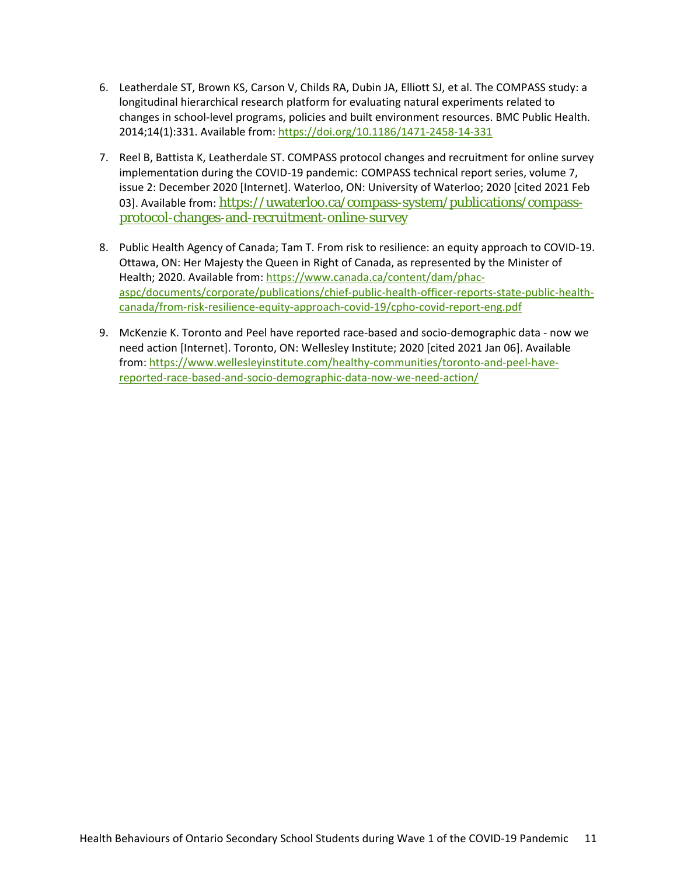- 6. Leatherdale ST, Brown KS, Carson V, Childs RA, Dubin JA, Elliott SJ, et al. The COMPASS study: a longitudinal hierarchical research platform for evaluating natural experiments related to changes in school-level programs, policies and built environment resources. BMC Public Health. 2014;14(1):331. Available from: <https://doi.org/10.1186/1471-2458-14-331>
- 7. Reel B, Battista K, Leatherdale ST. COMPASS protocol changes and recruitment for online survey implementation during the COVID-19 pandemic: COMPASS technical report series, volume 7, issue 2: December 2020 [Internet]. Waterloo, ON: University of Waterloo; 2020 [cited 2021 Feb 03]. Available from: [https://uwaterloo.ca/compass-system/publications/compass](https://uwaterloo.ca/compass-system/publications/compass-protocol-changes-and-recruitment-online-survey)[protocol-changes-and-recruitment-online-survey](https://uwaterloo.ca/compass-system/publications/compass-protocol-changes-and-recruitment-online-survey)
- 8. Public Health Agency of Canada; Tam T. From risk to resilience: an equity approach to COVID-19. Ottawa, ON: Her Majesty the Queen in Right of Canada, as represented by the Minister of Health; 2020. Available from: [https://www.canada.ca/content/dam/phac](https://www.canada.ca/content/dam/phac-aspc/documents/corporate/publications/chief-public-health-officer-reports-state-public-health-canada/from-risk-resilience-equity-approach-covid-19/cpho-covid-report-eng.pdf)[aspc/documents/corporate/publications/chief-public-health-officer-reports-state-public-health](https://www.canada.ca/content/dam/phac-aspc/documents/corporate/publications/chief-public-health-officer-reports-state-public-health-canada/from-risk-resilience-equity-approach-covid-19/cpho-covid-report-eng.pdf)[canada/from-risk-resilience-equity-approach-covid-19/cpho-covid-report-eng.pdf](https://www.canada.ca/content/dam/phac-aspc/documents/corporate/publications/chief-public-health-officer-reports-state-public-health-canada/from-risk-resilience-equity-approach-covid-19/cpho-covid-report-eng.pdf)
- 9. McKenzie K. Toronto and Peel have reported race-based and socio-demographic data now we need action [Internet]. Toronto, ON: Wellesley Institute; 2020 [cited 2021 Jan 06]. Available from: [https://www.wellesleyinstitute.com/healthy-communities/toronto-and-peel-have](https://www.wellesleyinstitute.com/healthy-communities/toronto-and-peel-have-reported-race-based-and-socio-demographic-data-now-we-need-action/)[reported-race-based-and-socio-demographic-data-now-we-need-action/](https://www.wellesleyinstitute.com/healthy-communities/toronto-and-peel-have-reported-race-based-and-socio-demographic-data-now-we-need-action/)